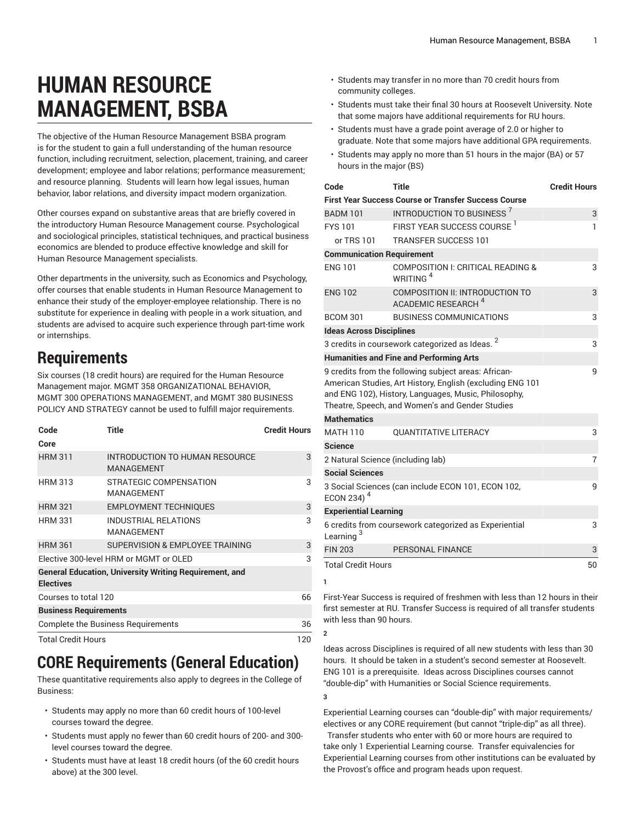# **HUMAN RESOURCE MANAGEMENT, BSBA**

The objective of the Human Resource Management BSBA program is for the student to gain a full understanding of the human resource function, including recruitment, selection, placement, training, and career development; employee and labor relations; performance measurement; and resource planning. Students will learn how legal issues, human behavior, labor relations, and diversity impact modern organization.

Other courses expand on substantive areas that are briefly covered in the introductory Human Resource Management course. Psychological and sociological principles, statistical techniques, and practical business economics are blended to produce effective knowledge and skill for Human Resource Management specialists.

Other departments in the university, such as Economics and Psychology, offer courses that enable students in Human Resource Management to enhance their study of the employer-employee relationship. There is no substitute for experience in dealing with people in a work situation, and students are advised to acquire such experience through part-time work or internships.

# **Requirements**

Six courses (18 credit hours) are required for the Human Resource Management major. MGMT 358 ORGANIZATIONAL BEHAVIOR, MGMT 300 OPERATIONS MANAGEMENT, and MGMT 380 BUSINESS POLICY AND STRATEGY cannot be used to fulfill major requirements.

| Code                                                                              | Title                                               | <b>Credit Hours</b> |  |  |
|-----------------------------------------------------------------------------------|-----------------------------------------------------|---------------------|--|--|
| Core                                                                              |                                                     |                     |  |  |
| <b>HRM 311</b>                                                                    | INTRODUCTION TO HUMAN RESOURCE<br><b>MANAGEMENT</b> | 3                   |  |  |
| <b>HRM 313</b>                                                                    | STRATEGIC COMPENSATION<br><b>MANAGEMENT</b>         | 3                   |  |  |
| <b>HRM 321</b>                                                                    | <b>EMPLOYMENT TECHNIQUES</b>                        | 3                   |  |  |
| <b>HRM 331</b>                                                                    | <b>INDUSTRIAL RELATIONS</b><br><b>MANAGEMENT</b>    | 3                   |  |  |
| <b>HRM 361</b>                                                                    | SUPERVISION & EMPLOYEE TRAINING                     | 3                   |  |  |
| Elective 300-level HRM or MGMT or OLED                                            | 3                                                   |                     |  |  |
| <b>General Education, University Writing Requirement, and</b><br><b>Electives</b> |                                                     |                     |  |  |
| Courses to total 120                                                              | 66                                                  |                     |  |  |
| <b>Business Requirements</b>                                                      |                                                     |                     |  |  |
| <b>Complete the Business Requirements</b>                                         | 36                                                  |                     |  |  |
| <b>Total Credit Hours</b>                                                         | 120                                                 |                     |  |  |

# **CORE Requirements (General Education)**

These quantitative requirements also apply to degrees in the College of Business:

- Students may apply no more than 60 credit hours of 100-level courses toward the degree.
- Students must apply no fewer than 60 credit hours of 200- and 300 level courses toward the degree.
- Students must have at least 18 credit hours (of the 60 credit hours above) at the 300 level.
- Students may transfer in no more than 70 credit hours from community colleges.
- Students must take their final 30 hours at Roosevelt University. Note that some majors have additional requirements for RU hours.
- Students must have a grade point average of 2.0 or higher to graduate. Note that some majors have additional GPA requirements.
- Students may apply no more than 51 hours in the major (BA) or 57 hours in the major (BS)

| Code                                                                                                                                                                                                                         | Title                                                                    | <b>Credit Hours</b> |  |  |
|------------------------------------------------------------------------------------------------------------------------------------------------------------------------------------------------------------------------------|--------------------------------------------------------------------------|---------------------|--|--|
|                                                                                                                                                                                                                              | <b>First Year Success Course or Transfer Success Course</b>              |                     |  |  |
| <b>BADM 101</b>                                                                                                                                                                                                              | <b>INTRODUCTION TO BUSINESS<sup>7</sup></b>                              | 3                   |  |  |
| <b>FYS101</b>                                                                                                                                                                                                                | FIRST YEAR SUCCESS COURSE <sup>1</sup>                                   | 1                   |  |  |
| or TRS 101                                                                                                                                                                                                                   | <b>TRANSFER SUCCESS 101</b>                                              |                     |  |  |
|                                                                                                                                                                                                                              | <b>Communication Requirement</b>                                         |                     |  |  |
| <b>FNG 101</b>                                                                                                                                                                                                               | COMPOSITION I: CRITICAL READING &<br>WRITING <sup>4</sup>                | 3                   |  |  |
| <b>ENG 102</b>                                                                                                                                                                                                               | <b>COMPOSITION II: INTRODUCTION TO</b><br>ACADEMIC RESEARCH <sup>4</sup> | 3                   |  |  |
| <b>BCOM 301</b>                                                                                                                                                                                                              | <b>BUSINESS COMMUNICATIONS</b>                                           | 3                   |  |  |
| <b>Ideas Across Disciplines</b>                                                                                                                                                                                              | 2                                                                        |                     |  |  |
| 3 credits in coursework categorized as Ideas.                                                                                                                                                                                | 3                                                                        |                     |  |  |
|                                                                                                                                                                                                                              | <b>Humanities and Fine and Performing Arts</b>                           |                     |  |  |
| 9 credits from the following subject areas: African-<br>American Studies, Art History, English (excluding ENG 101<br>and ENG 102), History, Languages, Music, Philosophy,<br>Theatre, Speech, and Women's and Gender Studies | 9                                                                        |                     |  |  |
| <b>Mathematics</b>                                                                                                                                                                                                           |                                                                          |                     |  |  |
| <b>MATH 110</b>                                                                                                                                                                                                              | <b>QUANTITATIVE LITERACY</b>                                             | 3                   |  |  |
| <b>Science</b>                                                                                                                                                                                                               |                                                                          |                     |  |  |
| $\overline{7}$<br>2 Natural Science (including lab)                                                                                                                                                                          |                                                                          |                     |  |  |
| <b>Social Sciences</b>                                                                                                                                                                                                       |                                                                          |                     |  |  |
| ECON 234) $4$                                                                                                                                                                                                                | 3 Social Sciences (can include ECON 101, ECON 102,                       | 9                   |  |  |
| <b>Experiential Learning</b>                                                                                                                                                                                                 |                                                                          |                     |  |  |
| Learning <sup>3</sup>                                                                                                                                                                                                        | 6 credits from coursework categorized as Experiential                    | 3                   |  |  |
| <b>FIN 203</b>                                                                                                                                                                                                               | <b>PERSONAL FINANCE</b>                                                  | 3                   |  |  |
| <b>Total Credit Hours</b>                                                                                                                                                                                                    | 50                                                                       |                     |  |  |

First-Year Success is required of freshmen with less than 12 hours in their first semester at RU. Transfer Success is required of all transfer students with less than 90 hours.

Ideas across Disciplines is required of all new students with less than 30 hours. It should be taken in a student's second semester at Roosevelt. ENG 101 is a prerequisite. Ideas across Disciplines courses cannot "double-dip" with Humanities or Social Science requirements.

**3**

**1**

**2**

Experiential Learning courses can "double-dip" with major requirements/ electives or any CORE requirement (but cannot "triple-dip" as all three). Transfer students who enter with 60 or more hours are required to take only 1 Experiential Learning course. Transfer equivalencies for Experiential Learning courses from other institutions can be evaluated by the Provost's office and program heads upon request.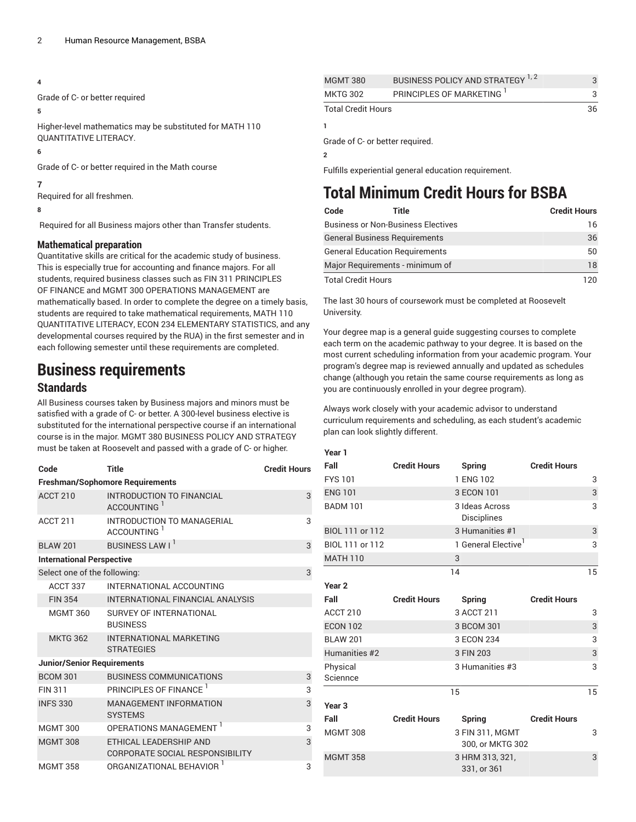#### **4**

Grade of C- or better required

#### **5**

Higher-level mathematics may be substituted for MATH 110 QUANTITATIVE LITERACY.

#### **6**

Grade of C- or better required in the Math course

#### **7**

Required for all freshmen.

#### **8**

Required for all Business majors other than Transfer students.

#### **Mathematical preparation**

Quantitative skills are critical for the academic study of business. This is especially true for accounting and finance majors. For all students, required business classes such as FIN 311 PRINCIPLES OF FINANCE and MGMT 300 OPERATIONS MANAGEMENT are mathematically based. In order to complete the degree on a timely basis, students are required to take mathematical requirements, MATH 110 QUANTITATIVE LITERACY, ECON 234 ELEMENTARY STATISTICS, and any developmental courses required by the RUA) in the first semester and in each following semester until these requirements are completed.

### **Business requirements**

#### **Standards**

All Business courses taken by Business majors and minors must be satisfied with a grade of C- or better. A 300-level business elective is substituted for the international perspective course if an international course is in the major. MGMT 380 BUSINESS POLICY AND STRATEGY must be taken at Roosevelt and passed with a grade of C- or higher.

| Code                                   | <b>Title</b>                                              | <b>Credit Hours</b> |  |  |
|----------------------------------------|-----------------------------------------------------------|---------------------|--|--|
| <b>Freshman/Sophomore Requirements</b> |                                                           |                     |  |  |
| <b>ACCT 210</b>                        | INTRODUCTION TO FINANCIAL<br>ACCOUNTING <sup>1</sup>      | 3                   |  |  |
| ACCT <sub>211</sub>                    | INTRODUCTION TO MANAGERIAL<br>ACCOUNTING <sup>1</sup>     | 3                   |  |  |
| <b>BLAW 201</b>                        | BUSINESS LAW I <sup>1</sup>                               | 3                   |  |  |
| <b>International Perspective</b>       |                                                           |                     |  |  |
| Select one of the following:           |                                                           | 3                   |  |  |
| ACCT 337                               | INTERNATIONAL ACCOUNTING                                  |                     |  |  |
| <b>FIN 354</b>                         | INTERNATIONAL FINANCIAL ANALYSIS                          |                     |  |  |
| <b>MGMT 360</b>                        | SURVEY OF INTERNATIONAL<br><b>BUSINESS</b>                |                     |  |  |
| <b>MKTG 362</b>                        | <b>INTERNATIONAL MARKETING</b><br><b>STRATEGIES</b>       |                     |  |  |
| <b>Junior/Senior Requirements</b>      |                                                           |                     |  |  |
| <b>BCOM 301</b>                        | <b>BUSINESS COMMUNICATIONS</b>                            | 3                   |  |  |
| <b>FIN 311</b>                         | PRINCIPLES OF FINANCE                                     | 3                   |  |  |
| <b>INFS 330</b>                        | <b>MANAGEMENT INFORMATION</b><br><b>SYSTEMS</b>           | 3                   |  |  |
| <b>MGMT 300</b>                        | OPERATIONS MANAGEMENT <sup>1</sup>                        | 3                   |  |  |
| <b>MGMT 308</b>                        | ETHICAL LEADERSHIP AND<br>CORPORATE SOCIAL RESPONSIBILITY | 3                   |  |  |
| <b>MGMT 358</b>                        | ORGANIZATIONAL BEHAVIOR 1                                 | 3                   |  |  |

| <b>MGMT 380</b>                 |                         |  |  |  |
|---------------------------------|-------------------------|--|--|--|
| <b>MKTG 302</b>                 | PRINCIPLES OF MARKETING |  |  |  |
| <b>Total Credit Hours</b>       |                         |  |  |  |
|                                 |                         |  |  |  |
| Grade of C- or better required. |                         |  |  |  |
|                                 |                         |  |  |  |

Fulfills experiential general education requirement.

# **Total Minimum Credit Hours for BSBA**

| Code                      | Title                                     | <b>Credit Hours</b> |
|---------------------------|-------------------------------------------|---------------------|
|                           | <b>Business or Non-Business Electives</b> | 16                  |
|                           | <b>General Business Requirements</b>      | 36                  |
|                           | <b>General Education Requirements</b>     | 50                  |
|                           | Major Requirements - minimum of           | 18                  |
| <b>Total Credit Hours</b> |                                           | 120                 |

The last 30 hours of coursework must be completed at Roosevelt University.

Your degree map is a general guide suggesting courses to complete each term on the academic pathway to your degree. It is based on the most current scheduling information from your academic program. Your program's degree map is reviewed annually and updated as schedules change (although you retain the same course requirements as long as you are continuously enrolled in your degree program).

Always work closely with your academic advisor to understand curriculum requirements and scheduling, as each student's academic plan can look slightly different.

| Year 1               |                     |                                     |                     |    |
|----------------------|---------------------|-------------------------------------|---------------------|----|
| Fall                 | <b>Credit Hours</b> | <b>Spring</b>                       | <b>Credit Hours</b> |    |
| <b>FYS101</b>        |                     | 1 ENG 102                           |                     | 3  |
| <b>ENG 101</b>       |                     | 3 ECON 101                          |                     | 3  |
| <b>BADM 101</b>      |                     | 3 Ideas Across<br>Disciplines       |                     | 3  |
| BIOL 111 or 112      |                     | 3 Humanities #1                     |                     | 3  |
| BIOL 111 or 112      |                     | 1 General Elective <sup>1</sup>     |                     | 3  |
| <b>MATH 110</b>      |                     | 3                                   |                     |    |
|                      |                     | 14                                  |                     | 15 |
| Year <sub>2</sub>    |                     |                                     |                     |    |
| Fall                 | <b>Credit Hours</b> | <b>Spring</b>                       | <b>Credit Hours</b> |    |
| ACCT 210             |                     | 3 ACCT 211                          |                     | 3  |
| <b>ECON 102</b>      |                     | 3 BCOM 301                          |                     | 3  |
| <b>BLAW 201</b>      |                     | 3 ECON 234                          |                     | 3  |
| Humanities #2        |                     | 3 FIN 203                           |                     | 3  |
| Physical<br>Sciennce |                     | 3 Humanities #3                     |                     | 3  |
|                      |                     | 15                                  |                     | 15 |
| Year <sub>3</sub>    |                     |                                     |                     |    |
| Fall                 | <b>Credit Hours</b> | <b>Spring</b>                       | <b>Credit Hours</b> |    |
| <b>MGMT 308</b>      |                     | 3 FIN 311, MGMT<br>300, or MKTG 302 |                     | 3  |
| <b>MGMT 358</b>      |                     | 3 HRM 313, 321,<br>331, or 361      |                     | 3  |